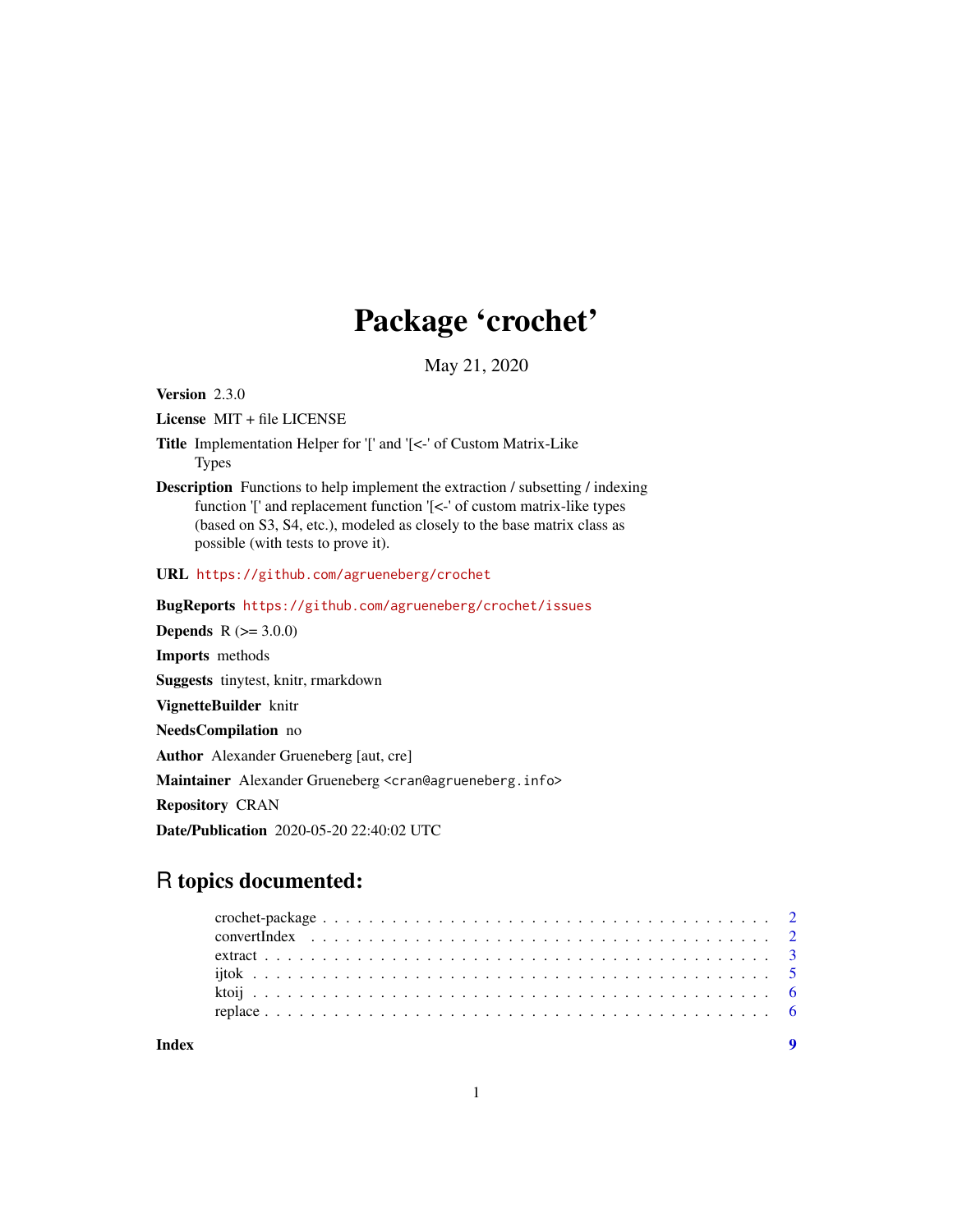## Package 'crochet'

May 21, 2020

<span id="page-0-0"></span>Version 2.3.0

License MIT + file LICENSE

- Title Implementation Helper for '[' and '[<-' of Custom Matrix-Like **Types**
- Description Functions to help implement the extraction / subsetting / indexing function '[' and replacement function '[<-' of custom matrix-like types (based on S3, S4, etc.), modeled as closely to the base matrix class as possible (with tests to prove it).

URL <https://github.com/agrueneberg/crochet>

BugReports <https://github.com/agrueneberg/crochet/issues>

**Depends**  $R$  ( $> = 3.0.0$ ) Imports methods Suggests tinytest, knitr, rmarkdown VignetteBuilder knitr NeedsCompilation no Author Alexander Grueneberg [aut, cre] Maintainer Alexander Grueneberg <cran@agrueneberg.info> Repository CRAN Date/Publication 2020-05-20 22:40:02 UTC

### R topics documented:

**Index** [9](#page-8-0)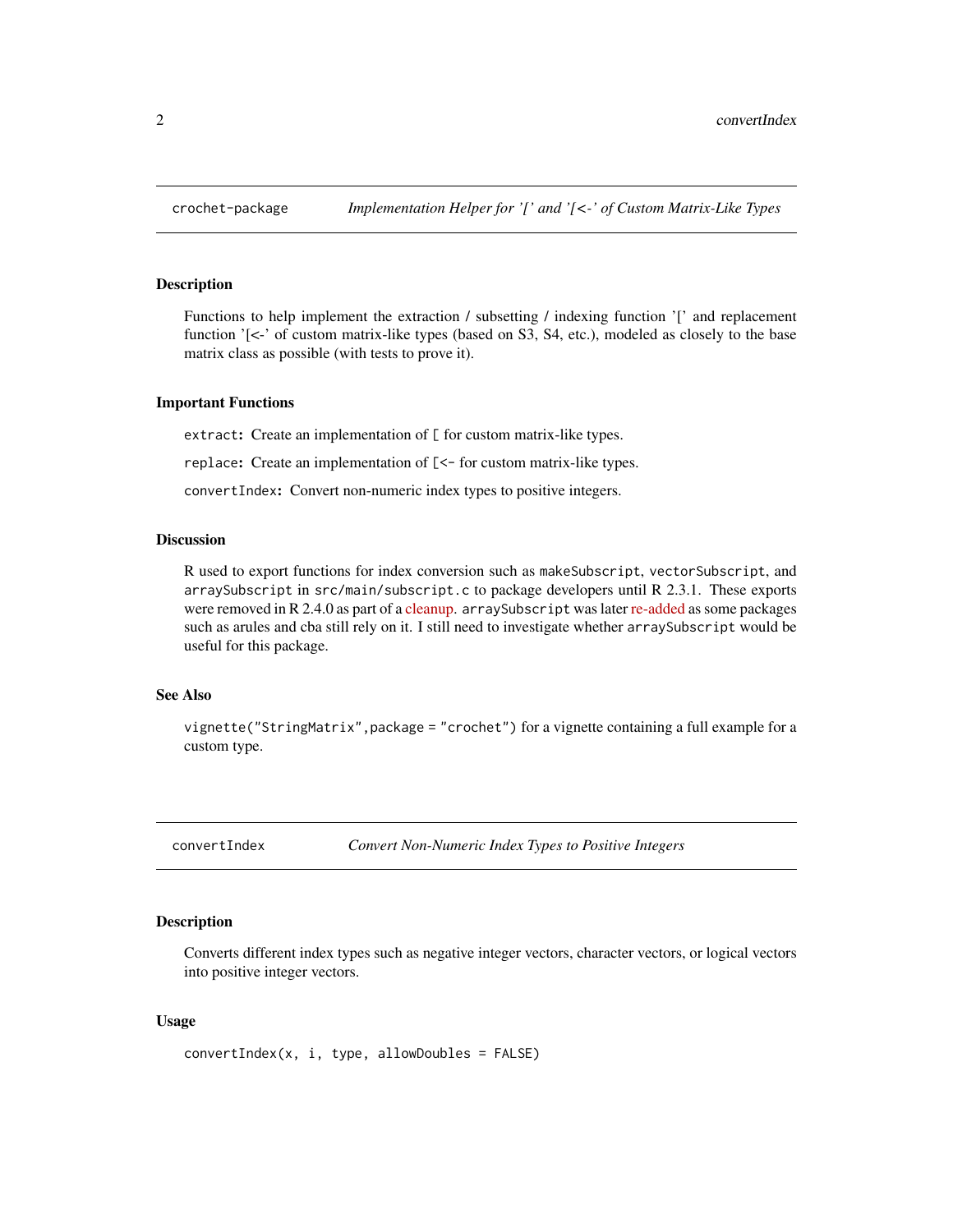<span id="page-1-0"></span>

#### **Description**

Functions to help implement the extraction / subsetting / indexing function '[' and replacement function '[<-' of custom matrix-like types (based on S3, S4, etc.), modeled as closely to the base matrix class as possible (with tests to prove it).

#### Important Functions

extract: Create an implementation of [ for custom matrix-like types.

replace: Create an implementation of [<- for custom matrix-like types.

convertIndex: Convert non-numeric index types to positive integers.

#### Discussion

R used to export functions for index conversion such as makeSubscript, vectorSubscript, and arraySubscript in  $src/main/subscript.c$  to package developers until R 2.3.1. These exports were removed in R 2.4.0 as part of a [cleanup.](https://github.com/wch/r-source/commit/7e3ce2f08807c005f930c0b36b545b10c7e9b391) arraySubscript was later [re-added](https://github.com/wch/r-source/commit/e7f0603fe69fc972466df01d6e8d4f8c207a757b) as some packages such as arules and cba still rely on it. I still need to investigate whether arraySubscript would be useful for this package.

#### See Also

vignette("StringMatrix",package = "crochet") for a vignette containing a full example for a custom type.

convertIndex *Convert Non-Numeric Index Types to Positive Integers*

#### Description

Converts different index types such as negative integer vectors, character vectors, or logical vectors into positive integer vectors.

#### Usage

```
convertIndex(x, i, type, allowDoubles = FALSE)
```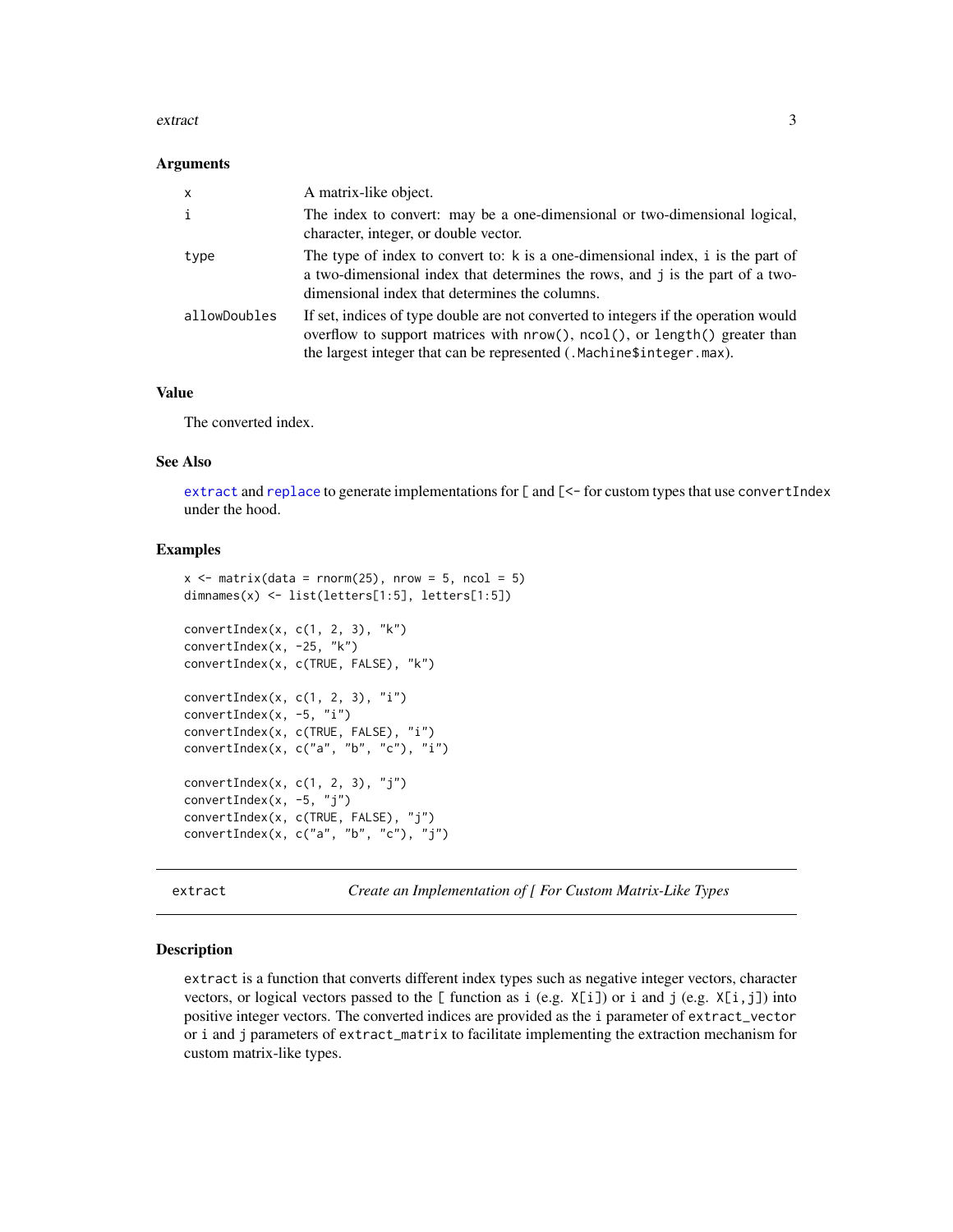#### <span id="page-2-0"></span>extract 3

#### **Arguments**

| $\mathsf{x}$ | A matrix-like object.                                                                                                                                                                                                                     |
|--------------|-------------------------------------------------------------------------------------------------------------------------------------------------------------------------------------------------------------------------------------------|
| j.           | The index to convert: may be a one-dimensional or two-dimensional logical,<br>character, integer, or double vector.                                                                                                                       |
| type         | The type of index to convert to: k is a one-dimensional index, i is the part of<br>a two-dimensional index that determines the rows, and j is the part of a two-<br>dimensional index that determines the columns.                        |
| allowDoubles | If set, indices of type double are not converted to integers if the operation would<br>overflow to support matrices with nrow(), ncol(), or length() greater than<br>the largest integer that can be represented (.Machine\$integer.max). |

#### Value

The converted index.

#### See Also

[extract](#page-2-1) and [replace](#page-5-1) to generate implementations for [ and [<- for custom types that use convertIndex under the hood.

#### Examples

```
x \le matrix(data = rnorm(25), nrow = 5, ncol = 5)
dimnames(x) <- list(letters[1:5], letters[1:5])
convertIndex(x, c(1, 2, 3), "k")convertIndex(x, -25, "k")convertIndex(x, c(TRUE, FALSE), "k")
convertIndex(x, c(1, 2, 3), "i")
convertIndex(x, -5, "i")
convertIndex(x, c(TRUE, FALSE), "i")
convertIndex(x, c("a", "b", "c"), "i")
convertIndex(x, c(1, 2, 3), "j")
convertIndex(x, -5, "j")
convertIndex(x, c(TRUE, FALSE), "j")
convertIndex(x, c("a", "b", "c"), "j")
```
<span id="page-2-1"></span>extract *Create an Implementation of [ For Custom Matrix-Like Types*

#### Description

extract is a function that converts different index types such as negative integer vectors, character vectors, or logical vectors passed to the  $[$  function as i (e.g.  $X[i]$ ) or i and j (e.g.  $X[i,j]$ ) into positive integer vectors. The converted indices are provided as the i parameter of extract\_vector or i and j parameters of extract\_matrix to facilitate implementing the extraction mechanism for custom matrix-like types.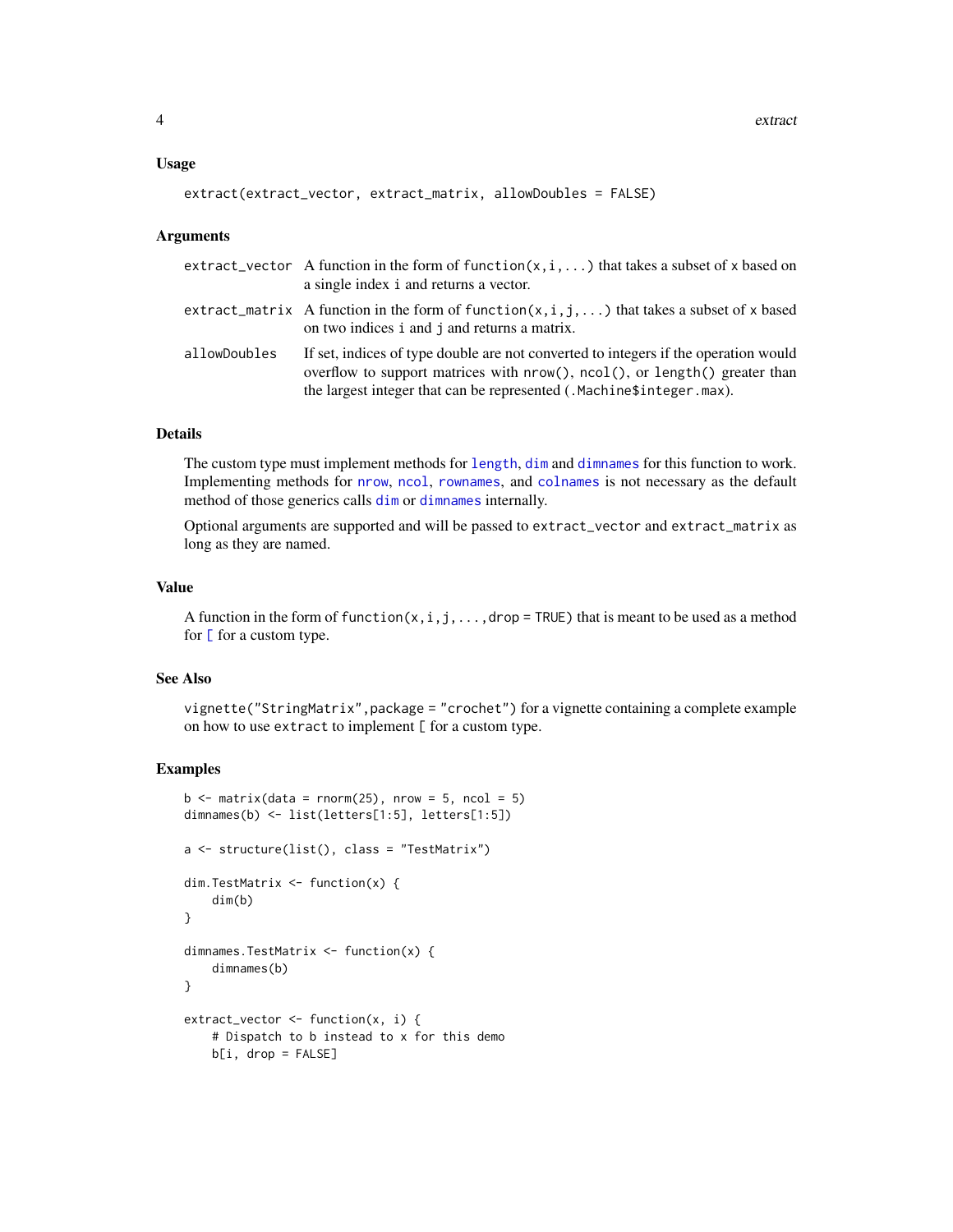#### <span id="page-3-0"></span>Usage

```
extract(extract_vector, extract_matrix, allowDoubles = FALSE)
```
#### Arguments

|              | extract_vector A function in the form of function( $x, i, $ ) that takes a subset of x based on<br>a single index i and returns a vector.                                                                                                 |
|--------------|-------------------------------------------------------------------------------------------------------------------------------------------------------------------------------------------------------------------------------------------|
|              | extract_matrix A function in the form of function( $x, i, j, $ ) that takes a subset of x based<br>on two indices i and j and returns a matrix.                                                                                           |
| allowDoubles | If set, indices of type double are not converted to integers if the operation would<br>overflow to support matrices with nrow(), ncol(), or length() greater than<br>the largest integer that can be represented (.Machine\$integer.max). |

#### Details

The custom type must implement methods for [length](#page-0-0), [dim](#page-0-0) and [dimnames](#page-0-0) for this function to work. Implementing methods for [nrow](#page-0-0), [ncol](#page-0-0), [rownames](#page-0-0), and [colnames](#page-0-0) is not necessary as the default method of those generics calls [dim](#page-0-0) or [dimnames](#page-0-0) internally.

Optional arguments are supported and will be passed to extract\_vector and extract\_matrix as long as they are named.

#### Value

A function in the form of function( $x, i, j, \ldots$ , drop = TRUE) that is meant to be used as a method for  $[$  for a custom type.

#### See Also

vignette("StringMatrix",package = "crochet") for a vignette containing a complete example on how to use extract to implement  $[$  for a custom type.

#### Examples

```
b \le matrix(data = rnorm(25), nrow = 5, ncol = 5)
dimnames(b) <- list(letters[1:5], letters[1:5])
a <- structure(list(), class = "TestMatrix")
dim.TestMatrix <- function(x) {
    dim(b)
}
dimnames.TestMatrix <- function(x) {
    dimnames(b)
}
extract\_vector \leftarrow function(x, i) {
    # Dispatch to b instead to x for this demo
   b[i, drop = FALSE]
```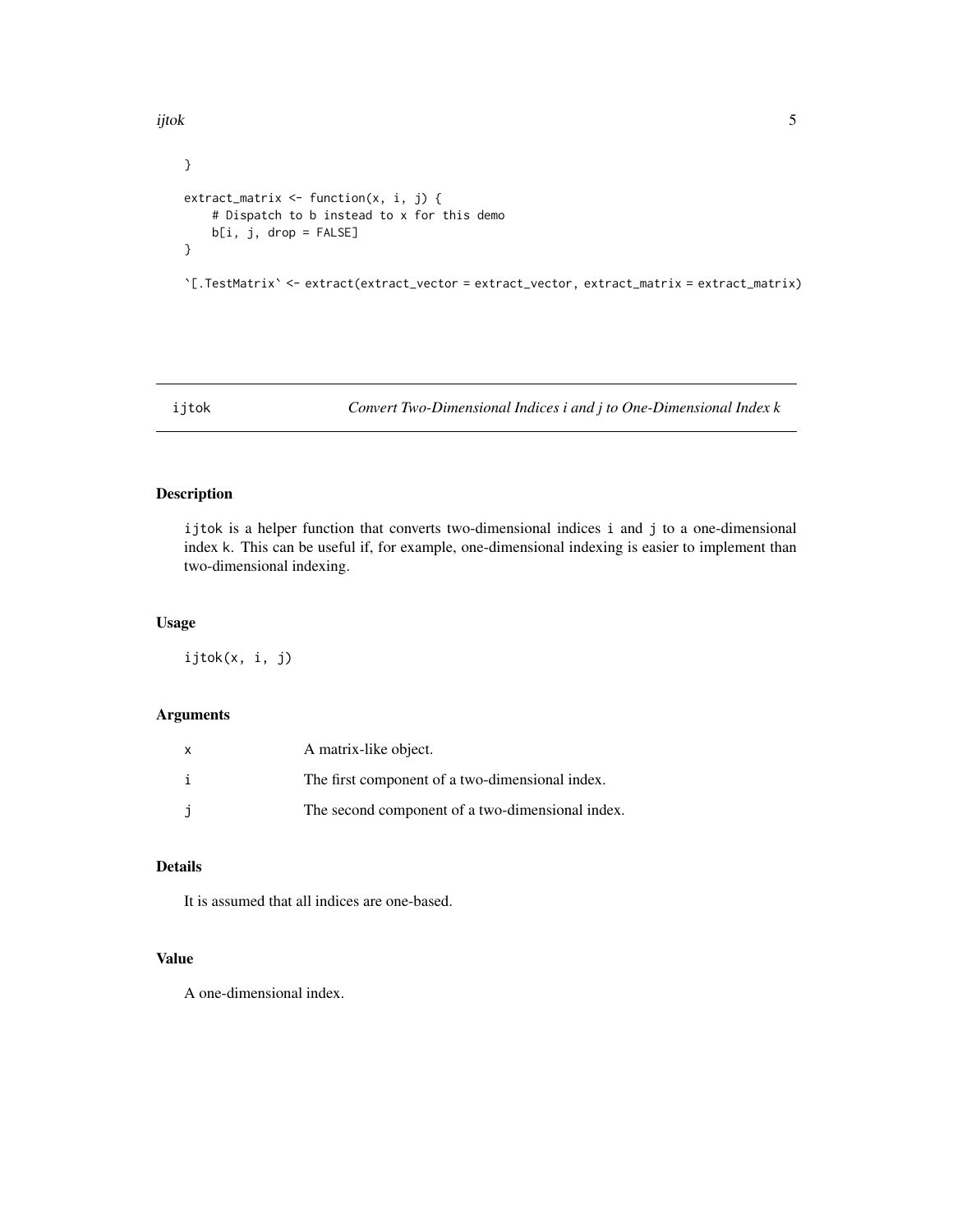<span id="page-4-0"></span>ijtok **50 km** i 1980 km i 1980 km i 1980 km i 1980 km i 1980 km i 1980 km i 1980 km i 1980 km i 1980 km i 1980 km i

```
}
extract_matrix <- function(x, i, j) {
   # Dispatch to b instead to x for this demo
   b[i, j, drop = FALSE]
}
```
`[.TestMatrix` <- extract(extract\_vector = extract\_vector, extract\_matrix = extract\_matrix)

ijtok *Convert Two-Dimensional Indices i and j to One-Dimensional Index k*

#### Description

ijtok is a helper function that converts two-dimensional indices i and j to a one-dimensional index k. This can be useful if, for example, one-dimensional indexing is easier to implement than two-dimensional indexing.

#### Usage

ijtok(x, i, j)

#### Arguments

| x  | A matrix-like object.                            |
|----|--------------------------------------------------|
| j. | The first component of a two-dimensional index.  |
|    | The second component of a two-dimensional index. |

#### Details

It is assumed that all indices are one-based.

#### Value

A one-dimensional index.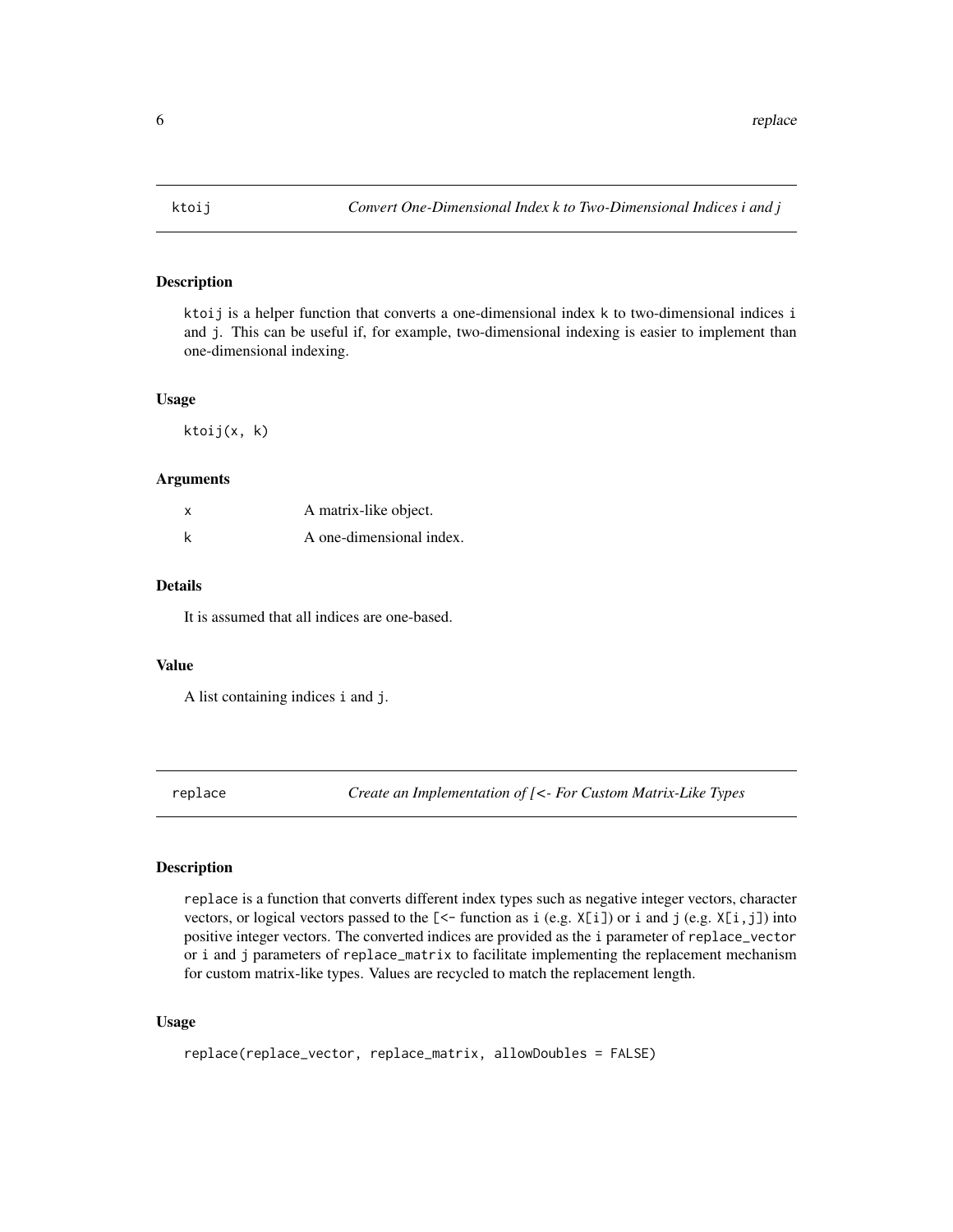<span id="page-5-0"></span>

#### Description

ktoij is a helper function that converts a one-dimensional index k to two-dimensional indices i and j. This can be useful if, for example, two-dimensional indexing is easier to implement than one-dimensional indexing.

#### Usage

ktoij(x, k)

#### Arguments

| x | A matrix-like object.    |
|---|--------------------------|
| k | A one-dimensional index. |

#### Details

It is assumed that all indices are one-based.

#### Value

A list containing indices i and j.

<span id="page-5-1"></span>replace *Create an Implementation of [<- For Custom Matrix-Like Types*

#### Description

replace is a function that converts different index types such as negative integer vectors, character vectors, or logical vectors passed to the  $\ll$  function as i (e.g. X $[i]$ ) or i and j (e.g. X $[i,j]$ ) into positive integer vectors. The converted indices are provided as the i parameter of replace\_vector or i and j parameters of replace\_matrix to facilitate implementing the replacement mechanism for custom matrix-like types. Values are recycled to match the replacement length.

#### Usage

```
replace(replace_vector, replace_matrix, allowDoubles = FALSE)
```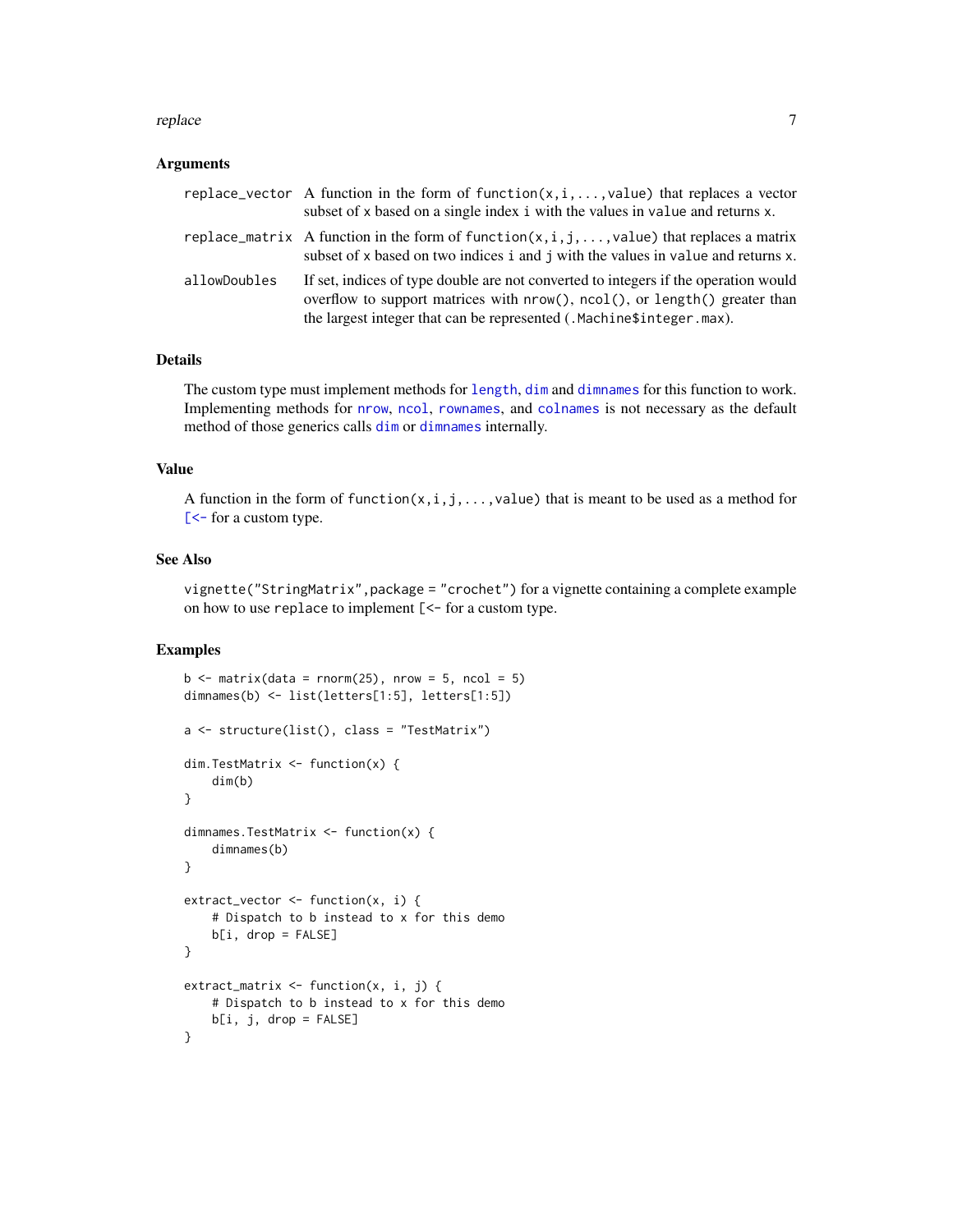#### <span id="page-6-0"></span>replace the contract of the contract of the contract of the contract of the contract of the contract of the contract of the contract of the contract of the contract of the contract of the contract of the contract of the co

#### Arguments

|              | replace_vector A function in the form of function( $x, i, \ldots,$ value) that replaces a vector<br>subset of x based on a single index i with the values in value and returns x.                                                               |
|--------------|-------------------------------------------------------------------------------------------------------------------------------------------------------------------------------------------------------------------------------------------------|
|              | replace_matrix A function in the form of function(x,i,j,,value) that replaces a matrix<br>subset of x based on two indices i and j with the values in value and returns x.                                                                      |
| allowDoubles | If set, indices of type double are not converted to integers if the operation would<br>overflow to support matrices with $nrow()$ , $ncol()$ , or length() greater than<br>the largest integer that can be represented (.Machine\$integer.max). |

#### Details

The custom type must implement methods for [length](#page-0-0), [dim](#page-0-0) and [dimnames](#page-0-0) for this function to work. Implementing methods for [nrow](#page-0-0), [ncol](#page-0-0), [rownames](#page-0-0), and [colnames](#page-0-0) is not necessary as the default method of those generics calls [dim](#page-0-0) or [dimnames](#page-0-0) internally.

#### Value

A function in the form of function(x, i, j, ..., value) that is meant to be used as a method for [\[<-](#page-0-0) for a custom type.

#### See Also

vignette("StringMatrix",package = "crochet") for a vignette containing a complete example on how to use replace to implement [<- for a custom type.

#### Examples

```
b \le matrix(data = rnorm(25), nrow = 5, ncol = 5)
dimnames(b) <- list(letters[1:5], letters[1:5])
a <- structure(list(), class = "TestMatrix")
dim.TestMatrix <- function(x) {
    dim(b)
}
dimnames.TestMatrix <- function(x) {
    dimnames(b)
}
extract_vector <- function(x, i) {
    # Dispatch to b instead to x for this demo
   b[i, drop = FALSE]
}
extract_matrix <- function(x, i, j) {
    # Dispatch to b instead to x for this demo
   b[i, j, drop = FALSE]
}
```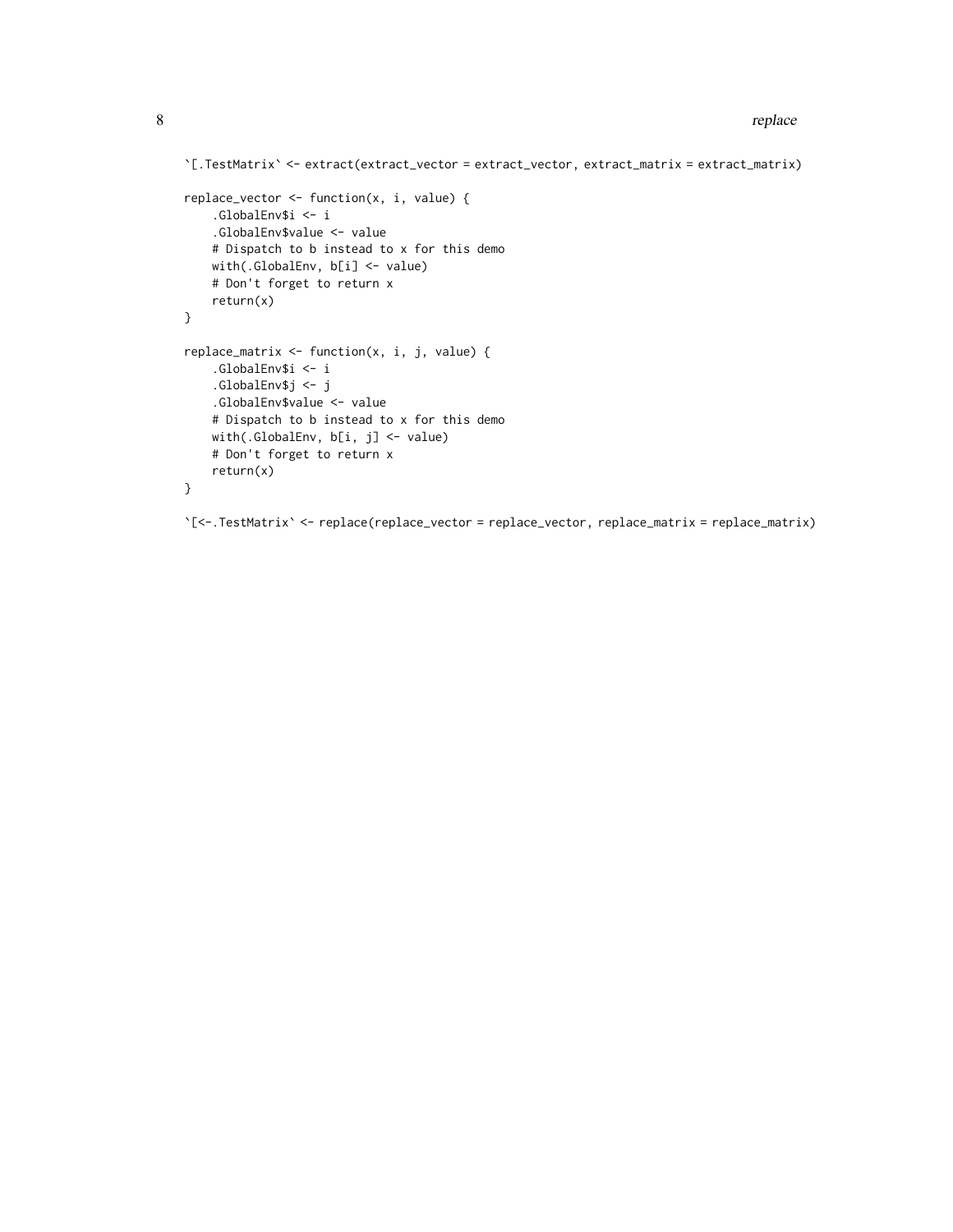```
`[.TestMatrix` <- extract(extract_vector = extract_vector, extract_matrix = extract_matrix)
replace_vector <- function(x, i, value) {
    .GlobalEnv$i <- i
    .GlobalEnv$value <- value
   # Dispatch to b instead to x for this demo
   with(.GlobalEnv, b[i] <- value)
   # Don't forget to return x
   return(x)
}
replace_matrix <- function(x, i, j, value) {
    .GlobalEnv$i <- i
    .GlobalEnv$j <- j
   .GlobalEnv$value <- value
   # Dispatch to b instead to x for this demo
   with(.GlobalEnv, b[i, j] <- value)
   # Don't forget to return x
   return(x)
}
```
`[<-.TestMatrix` <- replace(replace\_vector = replace\_vector, replace\_matrix = replace\_matrix)